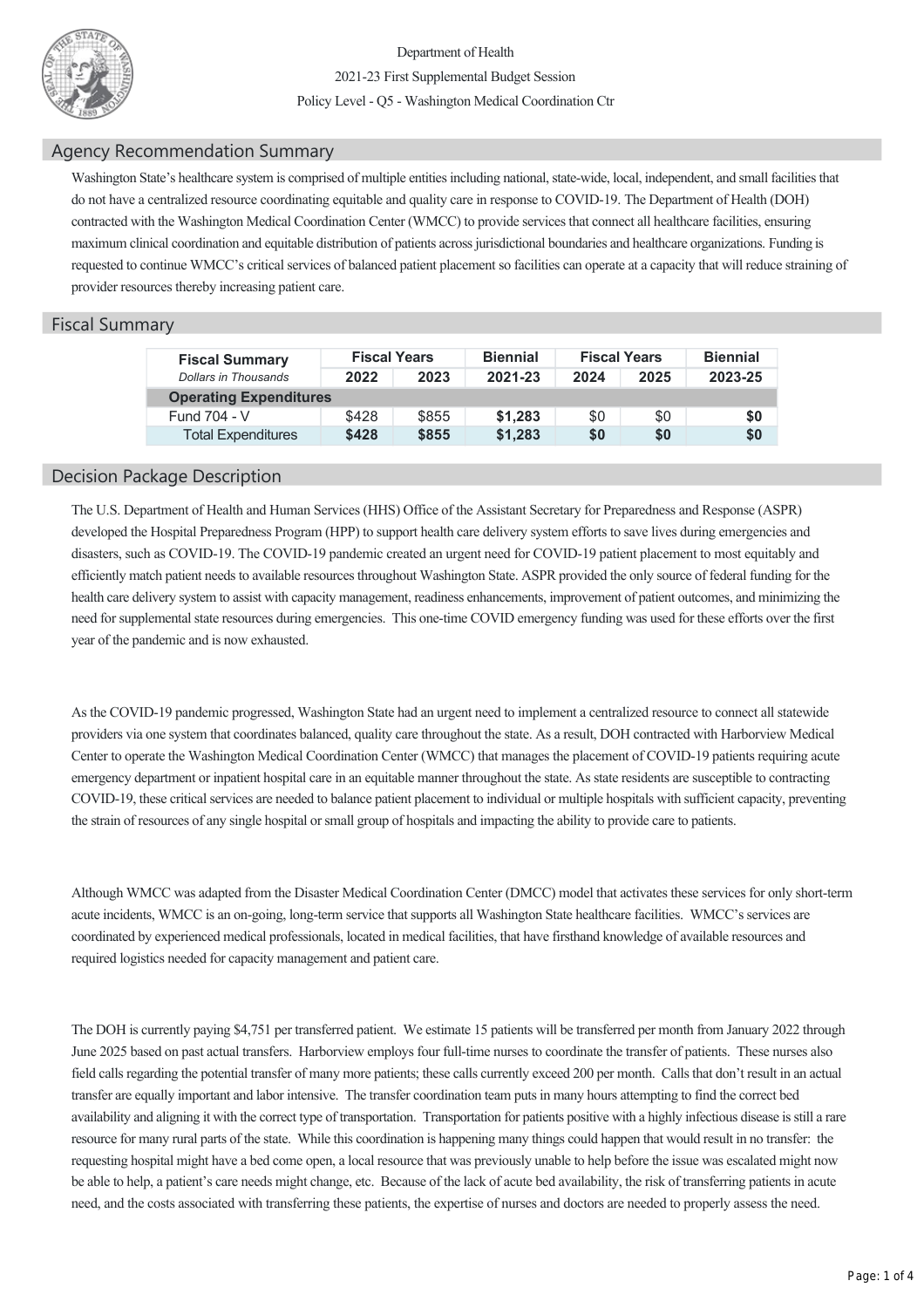

Department of Health 202123 First Supplemental Budget Session Policy Level - Q5 - Washington Medical Coordination Ctr

## Agency Recommendation Summary

Washington State's healthcare system is comprised of multiple entities including national, statewide, local, independent, and small facilities that do not have a centralized resource coordinating equitable and quality care in response to COVID-19. The Department of Health (DOH) contracted with the Washington Medical Coordination Center (WMCC) to provide services that connect all healthcare facilities, ensuring maximum clinical coordination and equitable distribution of patients across jurisdictional boundaries and healthcare organizations. Funding is requested to continue WMCC's critical services of balanced patient placement so facilities can operate at a capacity that will reduce straining of provider resources thereby increasing patient care.

## Fiscal Summary

| <b>Fiscal Summary</b><br>Dollars in Thousands | <b>Fiscal Years</b> |       | <b>Biennial</b> | <b>Fiscal Years</b> |      | <b>Biennial</b> |  |  |  |  |
|-----------------------------------------------|---------------------|-------|-----------------|---------------------|------|-----------------|--|--|--|--|
|                                               | 2022                | 2023  | 2021-23         | 2024                | 2025 | 2023-25         |  |  |  |  |
| <b>Operating Expenditures</b>                 |                     |       |                 |                     |      |                 |  |  |  |  |
| Fund 704 - V                                  | \$428               | \$855 | \$1.283         | \$0                 | \$0  | \$0             |  |  |  |  |
| <b>Total Expenditures</b>                     | \$428               | \$855 | \$1,283         | \$0                 | \$0  | \$0             |  |  |  |  |

## Decision Package Description

The U.S. Department of Health and Human Services (HHS) Office of the Assistant Secretary for Preparedness and Response (ASPR) developed the Hospital Preparedness Program (HPP) to support health care delivery system efforts to save lives during emergencies and disasters, such as COVID-19. The COVID-19 pandemic created an urgent need for COVID-19 patient placement to most equitably and efficiently match patient needs to available resources throughout Washington State. ASPR provided the only source of federal funding for the health care delivery system to assist with capacity management, readiness enhancements, improvement of patient outcomes, and minimizing the need for supplemental state resources during emergencies. This one-time COVID emergency funding was used for these efforts over the first year of the pandemic and is now exhausted.

As the COVID-19 pandemic progressed, Washington State had an urgent need to implement a centralized resource to connect all statewide providers via one system that coordinates balanced, quality care throughout the state. As a result, DOH contracted with Harborview Medical Center to operate the Washington Medical Coordination Center (WMCC) that manages the placement of COVID-19 patients requiring acute emergency department or inpatient hospital care in an equitable manner throughout the state. As state residents are susceptible to contracting COVID19, these critical services are needed to balance patient placement to individual or multiple hospitals with sufficient capacity, preventing the strain of resources of any single hospital or small group of hospitals and impacting the ability to provide care to patients.

Although WMCC was adapted from the Disaster Medical Coordination Center (DMCC) model that activates these services for only shortterm acute incidents, WMCC is an on-going, long-term service that supports all Washington State healthcare facilities. WMCC's services are coordinated by experienced medical professionals, located in medical facilities, that have firsthand knowledge of available resources and required logistics needed for capacity management and patient care.

The DOH is currently paying \$4,751 per transferred patient. We estimate 15 patients will be transferred per month from January 2022 through June 2025 based on past actual transfers. Harborview employs four full-time nurses to coordinate the transfer of patients. These nurses also field calls regarding the potential transfer of many more patients; these calls currently exceed 200 per month. Calls that don't result in an actual transfer are equally important and labor intensive. The transfer coordination team puts in many hours attempting to find the correct bed availability and aligning it with the correct type of transportation. Transportation for patients positive with a highly infectious disease is still a rare resource for many rural parts of the state. While this coordination is happening many things could happen that would result in no transfer: the requesting hospital might have a bed come open, a local resource that was previously unable to help before the issue was escalated might now be able to help, a patient's care needs might change, etc. Because of the lack of acute bed availability, the risk of transferring patients in acute need, and the costs associated with transferring these patients, the expertise of nurses and doctors are needed to properly assess the need.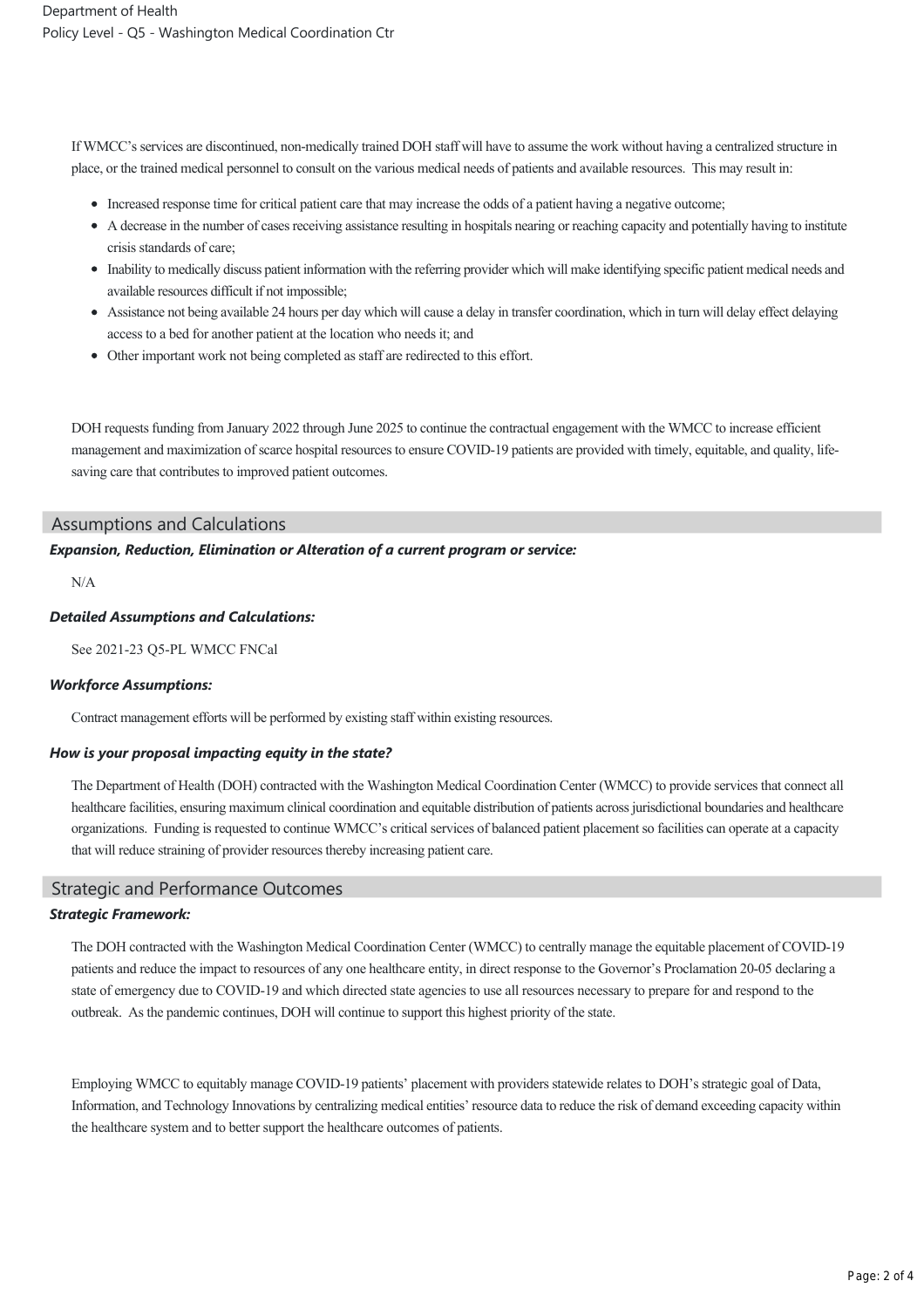If WMCC's services are discontinued, non-medically trained DOH staff will have to assume the work without having a centralized structure in place, or the trained medical personnel to consult on the various medical needs of patients and available resources. This may result in:

- Increased response time for critical patient care that may increase the odds of a patient having a negative outcome;
- A decrease in the number of cases receiving assistance resulting in hospitals nearing or reaching capacity and potentially having to institute crisis standards of care;
- Inability to medically discuss patient information with the referring provider which will make identifying specific patient medical needs and available resources difficult if not impossible;
- Assistance not being available 24 hours per day which will cause a delay in transfer coordination, which in turn will delay effect delaying access to a bed for another patient at the location who needs it; and
- Other important work not being completed as staff are redirected to this effort.

DOH requests funding from January 2022 through June 2025 to continue the contractual engagement with the WMCC to increase efficient management and maximization of scarce hospital resources to ensure COVID-19 patients are provided with timely, equitable, and quality, lifesaving care that contributes to improved patient outcomes.

## Assumptions and Calculations

## *Expansion, Reduction, Elimination or Alteration of a current program or service:*

N/A

## *Detailed Assumptions and Calculations:*

See 2021-23 O5-PL WMCC FNCal

#### *Workforce Assumptions:*

Contract management efforts will be performed by existing staff within existing resources.

## *How is your proposal impacting equity in the state?*

The Department of Health (DOH) contracted with the Washington Medical Coordination Center (WMCC) to provide services that connect all healthcare facilities, ensuring maximum clinical coordination and equitable distribution of patients across jurisdictional boundaries and healthcare organizations. Funding is requested to continue WMCC's critical services of balanced patient placement so facilities can operate at a capacity that will reduce straining of provider resources thereby increasing patient care.

## Strategic and Performance Outcomes

## *Strategic Framework:*

The DOH contracted with the Washington Medical Coordination Center (WMCC) to centrally manage the equitable placement of COVID19 patients and reduce the impact to resources of any one healthcare entity, in direct response to the Governor's Proclamation 20-05 declaring a state of emergency due to COVID-19 and which directed state agencies to use all resources necessary to prepare for and respond to the outbreak. As the pandemic continues, DOH will continue to support this highest priority of the state.

Employing WMCC to equitably manage COVID19 patients' placement with providers statewide relates to DOH's strategic goal of Data, Information, and Technology Innovations by centralizing medical entities' resource data to reduce the risk of demand exceeding capacity within the healthcare system and to better support the healthcare outcomes of patients.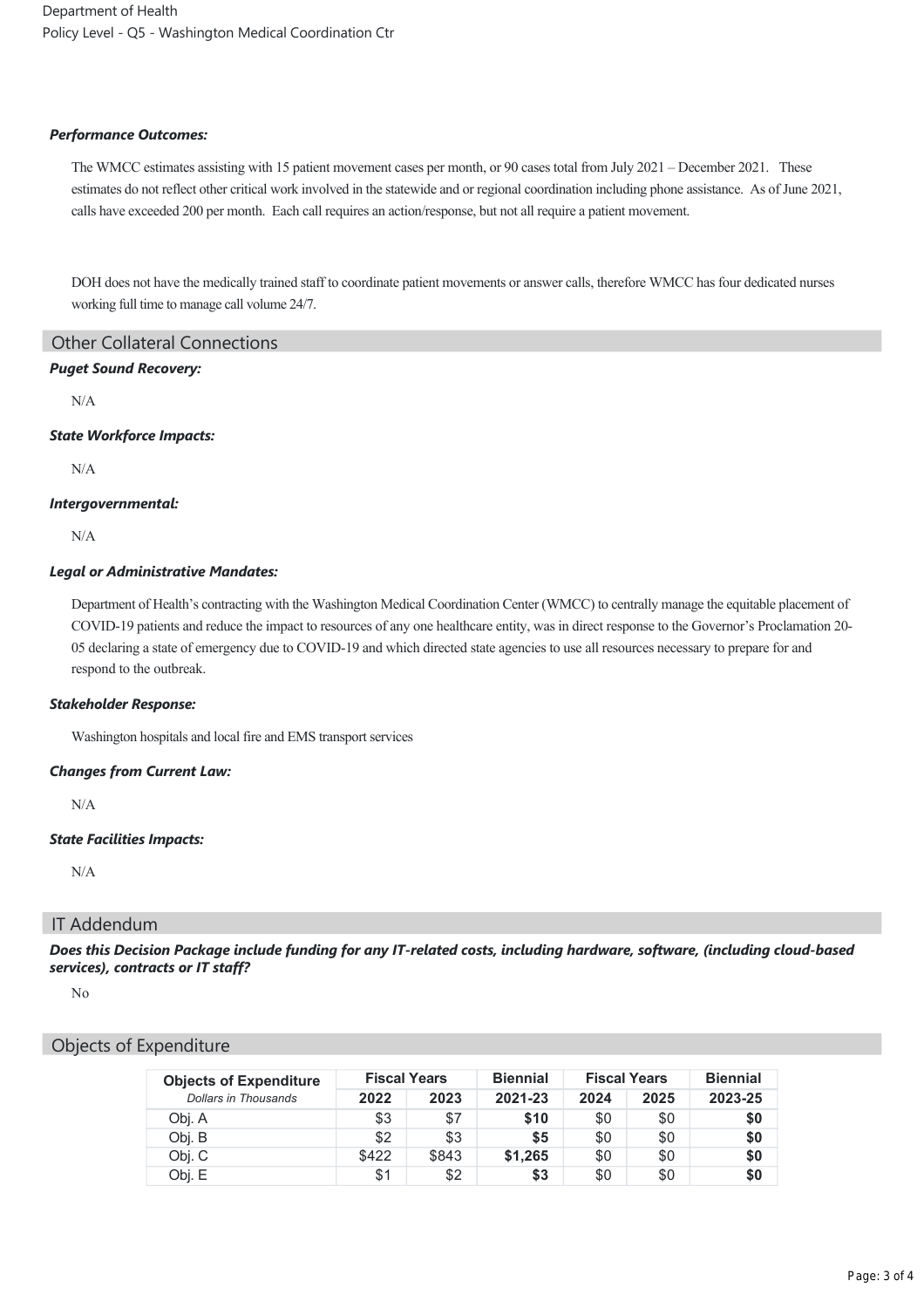Department of Health Policy Level ‐ Q5 ‐ Washington Medical Coordination Ctr

#### *Performance Outcomes:*

The WMCC estimates assisting with 15 patient movement cases per month, or 90 cases total from July 2021 – December 2021. These estimates do not reflect other critical work involved in the statewide and or regional coordination including phone assistance. As of June 2021, calls have exceeded 200 per month. Each call requires an action/response, but not all require a patient movement.

DOH does not have the medically trained staff to coordinate patient movements or answer calls, therefore WMCC has four dedicated nurses working full time to manage call volume 24/7.

Other Collateral Connections

## *Puget Sound Recovery:*

N/A

#### *State Workforce Impacts:*

N/A

## *Intergovernmental:*

N/A

## *Legal or Administrative Mandates:*

Department of Health's contracting with the Washington Medical Coordination Center (WMCC) to centrally manage the equitable placement of COVID-19 patients and reduce the impact to resources of any one healthcare entity, was in direct response to the Governor's Proclamation 20-05 declaring a state of emergency due to COVID-19 and which directed state agencies to use all resources necessary to prepare for and respond to the outbreak.

## *Stakeholder Response:*

Washington hospitals and local fire and EMS transport services

## *Changes from Current Law:*

N/A

## *State Facilities Impacts:*

N/A

# IT Addendum

*Does this Decision Package include funding for any IT‐related costs, including hardware, software, (including cloud‐based services), contracts or IT staff?*

No

# Objects of Expenditure

| <b>Objects of Expenditure</b> | <b>Fiscal Years</b> |       | <b>Biennial</b> | <b>Fiscal Years</b> |      | <b>Biennial</b> |
|-------------------------------|---------------------|-------|-----------------|---------------------|------|-----------------|
| Dollars in Thousands          | 2022                | 2023  | 2021-23         | 2024                | 2025 | 2023-25         |
| Obj. A                        | \$3                 | \$7   | \$10            | \$0                 | \$0  | \$0             |
| Obj. B                        | \$2                 | \$3   | \$5             | \$0                 | \$0  | \$0             |
| Obj. C                        | \$422               | \$843 | \$1,265         | \$0                 | \$0  | \$0             |
| Obj. E                        | \$1                 | \$2   | \$3             | \$0                 | \$0  | \$0             |